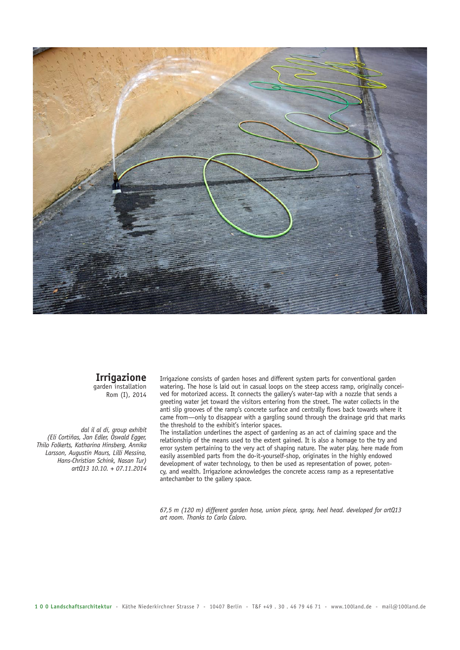

## **Irrigazione**

garden installation Rom (I), 2014

*dal il al di, group exhibit (Eli Cortiñas, Jan Edler, Oswald Egger, Thilo Folkerts, Katharina Hinsberg, Annika Larsson, Augustin Maurs, Lilli Messina, Hans-Christian Schink, Nasan Tur) artQ13 10.10. + 07.11.2014*

Irrigazione consists of garden hoses and different system parts for conventional garden watering. The hose is laid out in casual loops on the steep access ramp, originally conceived for motorized access. It connects the gallery's water-tap with a nozzle that sends a greeting water jet toward the visitors entering from the street. The water collects in the anti slip grooves of the ramp's concrete surface and centrally flows back towards where it came from—only to disappear with a gargling sound through the drainage grid that marks the threshold to the exhibit's interior spaces.

The installation underlines the aspect of gardening as an act of claiming space and the relationship of the means used to the extent gained. It is also a homage to the try and error system pertaining to the very act of shaping nature. The water play, here made from easily assembled parts from the do-it-yourself-shop, originates in the highly endowed development of water technology, to then be used as representation of power, potency, and wealth. Irrigazione acknowledges the concrete access ramp as a representative antechamber to the gallery space.

*67,5 m (120 m) different garden hose, union piece, spray, heel head. developed for artQ13 art room. Thanks to Carlo Caloro.*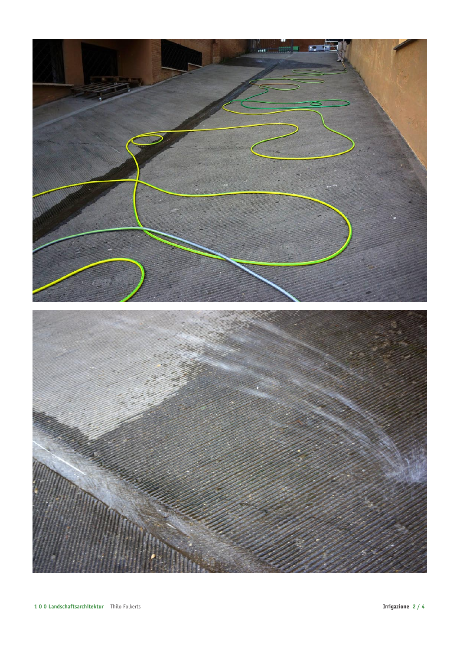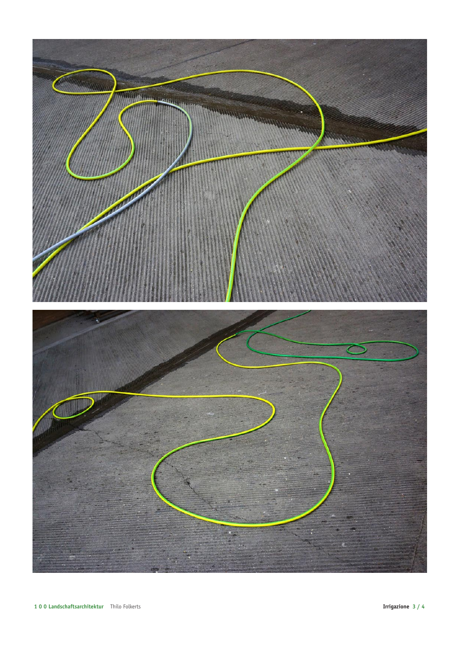